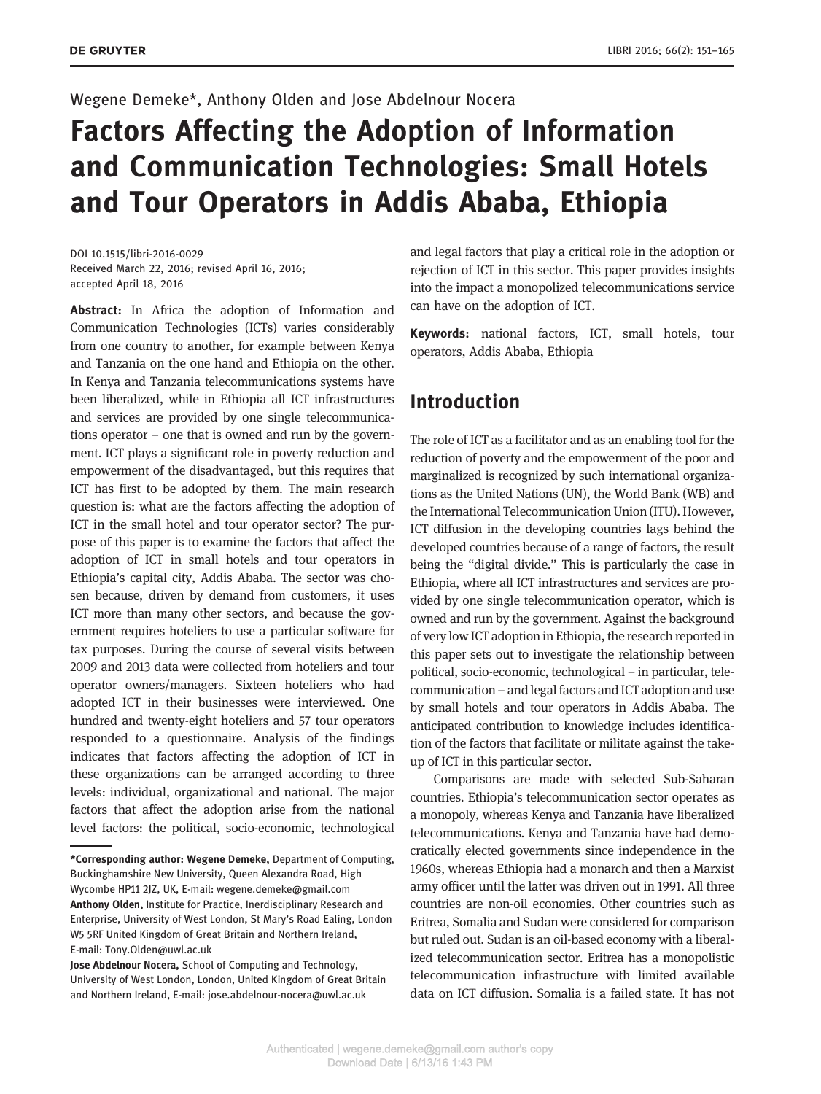## Wegene Demeke\*, Anthony Olden and Jose Abdelnour Nocera

# Factors Affecting the Adoption of Information and Communication Technologies: Small Hotels and Tour Operators in Addis Ababa, Ethiopia

DOI 10.1515/libri-2016-0029 Received March 22, 2016; revised April 16, 2016; accepted April 18, 2016

Abstract: In Africa the adoption of Information and Communication Technologies (ICTs) varies considerably from one country to another, for example between Kenya and Tanzania on the one hand and Ethiopia on the other. In Kenya and Tanzania telecommunications systems have been liberalized, while in Ethiopia all ICT infrastructures and services are provided by one single telecommunications operator – one that is owned and run by the government. ICT plays a significant role in poverty reduction and empowerment of the disadvantaged, but this requires that ICT has first to be adopted by them. The main research question is: what are the factors affecting the adoption of ICT in the small hotel and tour operator sector? The purpose of this paper is to examine the factors that affect the adoption of ICT in small hotels and tour operators in Ethiopia's capital city, Addis Ababa. The sector was chosen because, driven by demand from customers, it uses ICT more than many other sectors, and because the government requires hoteliers to use a particular software for tax purposes. During the course of several visits between 2009 and 2013 data were collected from hoteliers and tour operator owners/managers. Sixteen hoteliers who had adopted ICT in their businesses were interviewed. One hundred and twenty-eight hoteliers and 57 tour operators responded to a questionnaire. Analysis of the findings indicates that factors affecting the adoption of ICT in these organizations can be arranged according to three levels: individual, organizational and national. The major factors that affect the adoption arise from the national level factors: the political, socio-economic, technological

and legal factors that play a critical role in the adoption or rejection of ICT in this sector. This paper provides insights into the impact a monopolized telecommunications service can have on the adoption of ICT.

Keywords: national factors, ICT, small hotels, tour operators, Addis Ababa, Ethiopia

# Introduction

The role of ICT as a facilitator and as an enabling tool for the reduction of poverty and the empowerment of the poor and marginalized is recognized by such international organizations as the United Nations (UN), the World Bank (WB) and the International Telecommunication Union (ITU). However, ICT diffusion in the developing countries lags behind the developed countries because of a range of factors, the result being the "digital divide." This is particularly the case in Ethiopia, where all ICT infrastructures and services are provided by one single telecommunication operator, which is owned and run by the government. Against the background of very low ICT adoption in Ethiopia, the research reported in this paper sets out to investigate the relationship between political, socio-economic, technological – in particular, telecommunication – and legal factors and ICT adoption and use by small hotels and tour operators in Addis Ababa. The anticipated contribution to knowledge includes identification of the factors that facilitate or militate against the takeup of ICT in this particular sector.

Comparisons are made with selected Sub-Saharan countries. Ethiopia's telecommunication sector operates as a monopoly, whereas Kenya and Tanzania have liberalized telecommunications. Kenya and Tanzania have had democratically elected governments since independence in the 1960s, whereas Ethiopia had a monarch and then a Marxist army officer until the latter was driven out in 1991. All three countries are non-oil economies. Other countries such as Eritrea, Somalia and Sudan were considered for comparison but ruled out. Sudan is an oil-based economy with a liberalized telecommunication sector. Eritrea has a monopolistic telecommunication infrastructure with limited available data on ICT diffusion. Somalia is a failed state. It has not

<sup>\*</sup>Corresponding author: Wegene Demeke, Department of Computing, Buckinghamshire New University, Queen Alexandra Road, High Wycombe HP11 2JZ, UK, E-mail: wegene.demeke@gmail.com Anthony Olden, Institute for Practice, Inerdisciplinary Research and Enterprise, University of West London, St Mary's Road Ealing, London W5 5RF United Kingdom of Great Britain and Northern Ireland, E-mail: Tony.Olden@uwl.ac.uk

Jose Abdelnour Nocera, School of Computing and Technology, University of West London, London, United Kingdom of Great Britain and Northern Ireland, E-mail: jose.abdelnour-nocera@uwl.ac.uk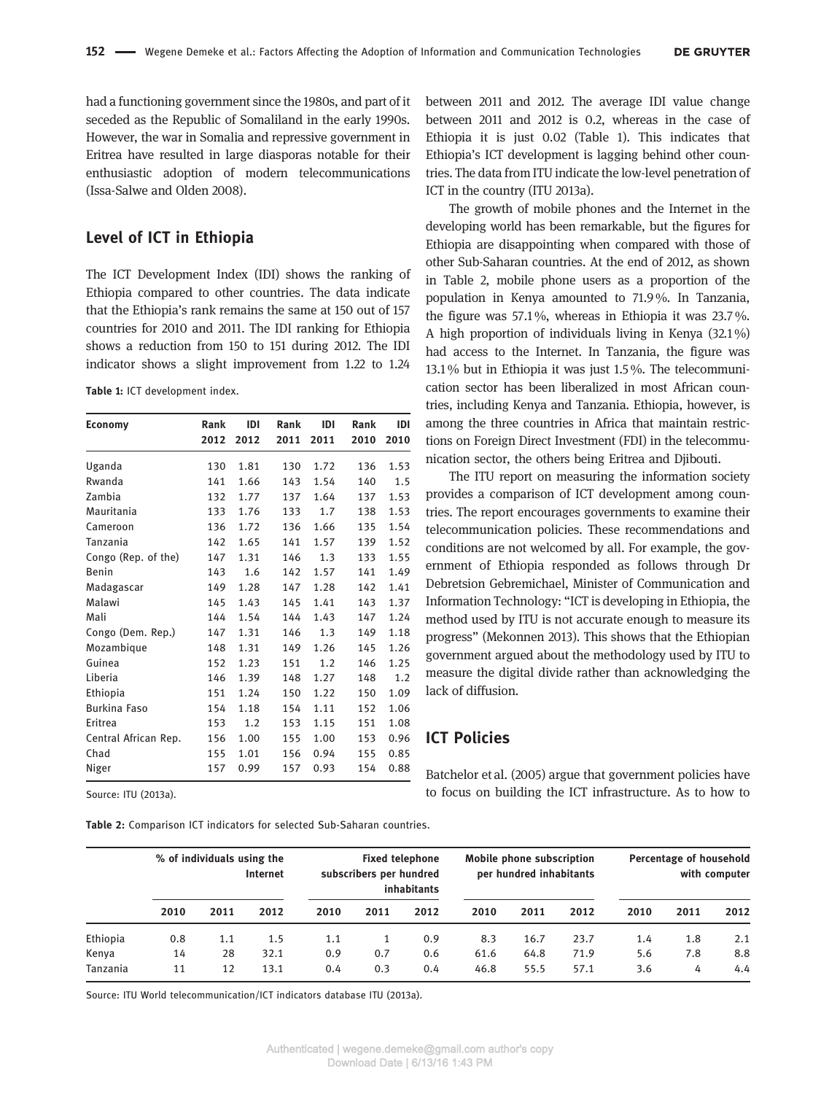had a functioning government since the 1980s, and part of it seceded as the Republic of Somaliland in the early 1990s. However, the war in Somalia and repressive government in Eritrea have resulted in large diasporas notable for their enthusiastic adoption of modern telecommunications (Issa-Salwe and Olden 2008).

#### Level of ICT in Ethiopia

The ICT Development Index (IDI) shows the ranking of Ethiopia compared to other countries. The data indicate that the Ethiopia's rank remains the same at 150 out of 157 countries for 2010 and 2011. The IDI ranking for Ethiopia shows a reduction from 150 to 151 during 2012. The IDI indicator shows a slight improvement from 1.22 to 1.24

Table 1: ICT development index.

| <b>Economy</b>       | Rank<br>2012 | IDI<br>2012 | Rank<br>2011 | IDI<br>2011 | Rank<br>2010 | IDI<br>2010 |
|----------------------|--------------|-------------|--------------|-------------|--------------|-------------|
| Uganda               | 130          | 1.81        | 130          | 1.72        | 136          | 1.53        |
| Rwanda               | 141          | 1.66        | 143          | 1.54        | 140          | 1.5         |
| Zambia               | 132          | 1.77        | 137          | 1.64        | 137          | 1.53        |
| Mauritania           | 133          | 1.76        | 133          | 1.7         | 138          | 1.53        |
| Cameroon             | 136          | 1.72        | 136          | 1.66        | 135          | 1.54        |
| Tanzania             | 142          | 1.65        | 141          | 1.57        | 139          | 1.52        |
| Congo (Rep. of the)  | 147          | 1.31        | 146          | 1.3         | 133          | 1.55        |
| Benin                | 143          | 1.6         | 142          | 1.57        | 141          | 1.49        |
| Madagascar           | 149          | 1.28        | 147          | 1.28        | 142          | 1.41        |
| Malawi               | 145          | 1.43        | 145          | 1.41        | 143          | 1.37        |
| Mali                 | 144          | 1.54        | 144          | 1.43        | 147          | 1.24        |
| Congo (Dem. Rep.)    | 147          | 1.31        | 146          | 1.3         | 149          | 1.18        |
| Mozambique           | 148          | 1.31        | 149          | 1.26        | 145          | 1.26        |
| Guinea               | 152          | 1.23        | 151          | 1.2         | 146          | 1.25        |
| Liberia              | 146          | 1.39        | 148          | 1.27        | 148          | 1.2         |
| Ethiopia             | 151          | 1.24        | 150          | 1.22        | 150          | 1.09        |
| <b>Burkina Faso</b>  | 154          | 1.18        | 154          | 1.11        | 152          | 1.06        |
| Eritrea              | 153          | 1.2         | 153          | 1.15        | 151          | 1.08        |
| Central African Rep. | 156          | 1.00        | 155          | 1.00        | 153          | 0.96        |
| Chad                 | 155          | 1.01        | 156          | 0.94        | 155          | 0.85        |
| Niger                | 157          | 0.99        | 157          | 0.93        | 154          | 0.88        |

between 2011 and 2012. The average IDI value change between 2011 and 2012 is 0.2, whereas in the case of Ethiopia it is just 0.02 (Table 1). This indicates that Ethiopia's ICT development is lagging behind other countries. The data from ITU indicate the low-level penetration of ICT in the country (ITU 2013a).

The growth of mobile phones and the Internet in the developing world has been remarkable, but the figures for Ethiopia are disappointing when compared with those of other Sub-Saharan countries. At the end of 2012, as shown in Table 2, mobile phone users as a proportion of the population in Kenya amounted to 71.9 %. In Tanzania, the figure was 57.1 %, whereas in Ethiopia it was 23.7 %. A high proportion of individuals living in Kenya (32.1 %) had access to the Internet. In Tanzania, the figure was 13.1 % but in Ethiopia it was just 1.5 %. The telecommunication sector has been liberalized in most African countries, including Kenya and Tanzania. Ethiopia, however, is among the three countries in Africa that maintain restrictions on Foreign Direct Investment (FDI) in the telecommunication sector, the others being Eritrea and Djibouti.

The ITU report on measuring the information society provides a comparison of ICT development among countries. The report encourages governments to examine their telecommunication policies. These recommendations and conditions are not welcomed by all. For example, the government of Ethiopia responded as follows through Dr Debretsion Gebremichael, Minister of Communication and Information Technology: "ICT is developing in Ethiopia, the method used by ITU is not accurate enough to measure its progress" (Mekonnen 2013). This shows that the Ethiopian government argued about the methodology used by ITU to measure the digital divide rather than acknowledging the lack of diffusion.

# ICT Policies

Batchelor et al. (2005) argue that government policies have to focus on building the ICT infrastructure. As to how to

Source: ITU (2013a).

Table 2: Comparison ICT indicators for selected Sub-Saharan countries.

|          | % of individuals using the<br><b>Internet</b> |      | <b>Fixed telephone</b><br>subscribers per hundred<br>inhabitants |      | Mobile phone subscription<br>per hundred inhabitants |      | Percentage of household<br>with computer |      |      |      |      |      |
|----------|-----------------------------------------------|------|------------------------------------------------------------------|------|------------------------------------------------------|------|------------------------------------------|------|------|------|------|------|
|          | 2010                                          | 2011 | 2012                                                             | 2010 | 2011                                                 | 2012 | 2010                                     | 2011 | 2012 | 2010 | 2011 | 2012 |
| Ethiopia | 0.8                                           | 1.1  | 1.5                                                              | 1.1  |                                                      | 0.9  | 8.3                                      | 16.7 | 23.7 | 1.4  | 1.8  | 2.1  |
| Kenya    | 14                                            | 28   | 32.1                                                             | 0.9  | 0.7                                                  | 0.6  | 61.6                                     | 64.8 | 71.9 | 5.6  | 7.8  | 8.8  |
| Tanzania | 11                                            | 12   | 13.1                                                             | 0.4  | 0.3                                                  | 0.4  | 46.8                                     | 55.5 | 57.1 | 3.6  | 4    | 4.4  |

Source: ITU World telecommunication/ICT indicators database ITU (2013a).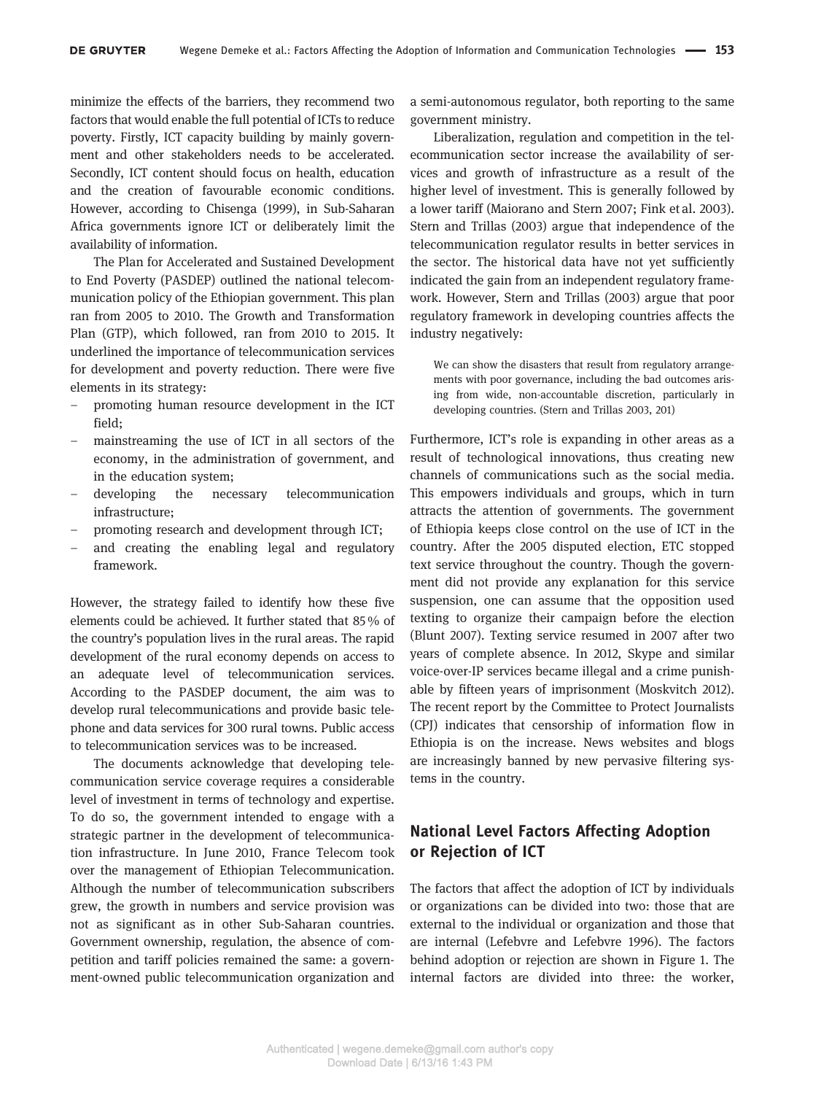minimize the effects of the barriers, they recommend two factors that would enable the full potential of ICTs to reduce poverty. Firstly, ICT capacity building by mainly government and other stakeholders needs to be accelerated. Secondly, ICT content should focus on health, education and the creation of favourable economic conditions. However, according to Chisenga (1999), in Sub-Saharan Africa governments ignore ICT or deliberately limit the availability of information.

The Plan for Accelerated and Sustained Development to End Poverty (PASDEP) outlined the national telecommunication policy of the Ethiopian government. This plan ran from 2005 to 2010. The Growth and Transformation Plan (GTP), which followed, ran from 2010 to 2015. It underlined the importance of telecommunication services for development and poverty reduction. There were five elements in its strategy:

- promoting human resource development in the ICT field;
- mainstreaming the use of ICT in all sectors of the economy, in the administration of government, and in the education system;
- developing the necessary telecommunication infrastructure;
- promoting research and development through ICT;
- and creating the enabling legal and regulatory framework.

However, the strategy failed to identify how these five elements could be achieved. It further stated that 85 % of the country's population lives in the rural areas. The rapid development of the rural economy depends on access to an adequate level of telecommunication services. According to the PASDEP document, the aim was to develop rural telecommunications and provide basic telephone and data services for 300 rural towns. Public access to telecommunication services was to be increased.

The documents acknowledge that developing telecommunication service coverage requires a considerable level of investment in terms of technology and expertise. To do so, the government intended to engage with a strategic partner in the development of telecommunication infrastructure. In June 2010, France Telecom took over the management of Ethiopian Telecommunication. Although the number of telecommunication subscribers grew, the growth in numbers and service provision was not as significant as in other Sub-Saharan countries. Government ownership, regulation, the absence of competition and tariff policies remained the same: a government-owned public telecommunication organization and

a semi-autonomous regulator, both reporting to the same government ministry.

Liberalization, regulation and competition in the telecommunication sector increase the availability of services and growth of infrastructure as a result of the higher level of investment. This is generally followed by a lower tariff (Maiorano and Stern 2007; Fink et al. 2003). Stern and Trillas (2003) argue that independence of the telecommunication regulator results in better services in the sector. The historical data have not yet sufficiently indicated the gain from an independent regulatory framework. However, Stern and Trillas (2003) argue that poor regulatory framework in developing countries affects the industry negatively:

We can show the disasters that result from regulatory arrangements with poor governance, including the bad outcomes arising from wide, non-accountable discretion, particularly in developing countries. (Stern and Trillas 2003, 201)

Furthermore, ICT's role is expanding in other areas as a result of technological innovations, thus creating new channels of communications such as the social media. This empowers individuals and groups, which in turn attracts the attention of governments. The government of Ethiopia keeps close control on the use of ICT in the country. After the 2005 disputed election, ETC stopped text service throughout the country. Though the government did not provide any explanation for this service suspension, one can assume that the opposition used texting to organize their campaign before the election (Blunt 2007). Texting service resumed in 2007 after two years of complete absence. In 2012, Skype and similar voice-over-IP services became illegal and a crime punishable by fifteen years of imprisonment (Moskvitch 2012). The recent report by the Committee to Protect Journalists (CPJ) indicates that censorship of information flow in Ethiopia is on the increase. News websites and blogs are increasingly banned by new pervasive filtering systems in the country.

# National Level Factors Affecting Adoption or Rejection of ICT

The factors that affect the adoption of ICT by individuals or organizations can be divided into two: those that are external to the individual or organization and those that are internal (Lefebvre and Lefebvre 1996). The factors behind adoption or rejection are shown in Figure 1. The internal factors are divided into three: the worker,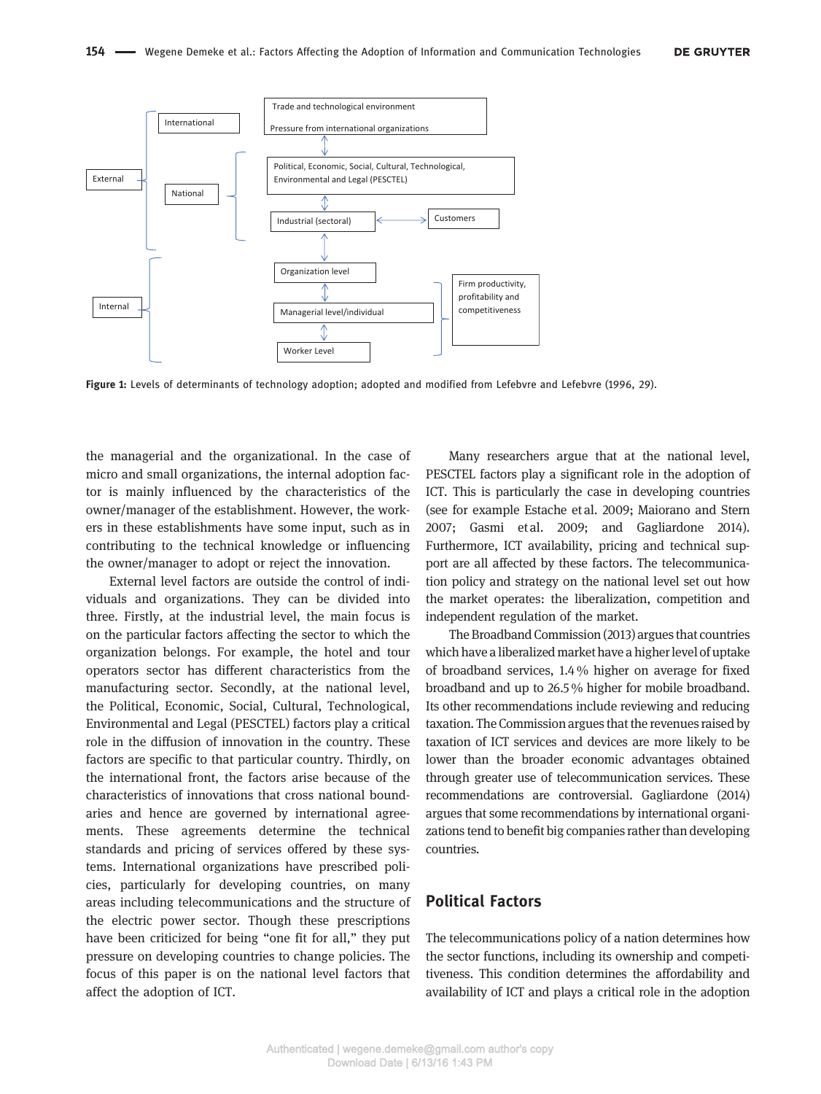

Figure 1: Levels of determinants of technology adoption; adopted and modified from Lefebvre and Lefebvre (1996, 29).

the managerial and the organizational. In the case of micro and small organizations, the internal adoption factor is mainly influenced by the characteristics of the owner/manager of the establishment. However, the workers in these establishments have some input, such as in contributing to the technical knowledge or influencing the owner/manager to adopt or reject the innovation.

External level factors are outside the control of individuals and organizations. They can be divided into three. Firstly, at the industrial level, the main focus is on the particular factors affecting the sector to which the organization belongs. For example, the hotel and tour operators sector has different characteristics from the manufacturing sector. Secondly, at the national level, the Political, Economic, Social, Cultural, Technological, Environmental and Legal (PESCTEL) factors play a critical role in the diffusion of innovation in the country. These factors are specific to that particular country. Thirdly, on the international front, the factors arise because of the characteristics of innovations that cross national boundaries and hence are governed by international agreements. These agreements determine the technical standards and pricing of services offered by these systems. International organizations have prescribed policies, particularly for developing countries, on many areas including telecommunications and the structure of the electric power sector. Though these prescriptions have been criticized for being "one fit for all," they put pressure on developing countries to change policies. The focus of this paper is on the national level factors that affect the adoption of ICT.

Many researchers argue that at the national level, PESCTEL factors play a significant role in the adoption of ICT. This is particularly the case in developing countries (see for example Estache et al. 2009; Maiorano and Stern 2007; Gasmi et al. 2009; and Gagliardone 2014). Furthermore, ICT availability, pricing and technical support are all affected by these factors. The telecommunication policy and strategy on the national level set out how the market operates: the liberalization, competition and independent regulation of the market.

The Broadband Commission (2013) argues that countries which have a liberalized market have a higher level of uptake of broadband services, 1.4 % higher on average for fixed broadband and up to 26.5 % higher for mobile broadband. Its other recommendations include reviewing and reducing taxation. The Commission argues that the revenues raised by taxation of ICT services and devices are more likely to be lower than the broader economic advantages obtained through greater use of telecommunication services. These recommendations are controversial. Gagliardone (2014) argues that some recommendations by international organizations tend to benefit big companies rather than developing countries.

#### Political Factors

The telecommunications policy of a nation determines how the sector functions, including its ownership and competitiveness. This condition determines the affordability and availability of ICT and plays a critical role in the adoption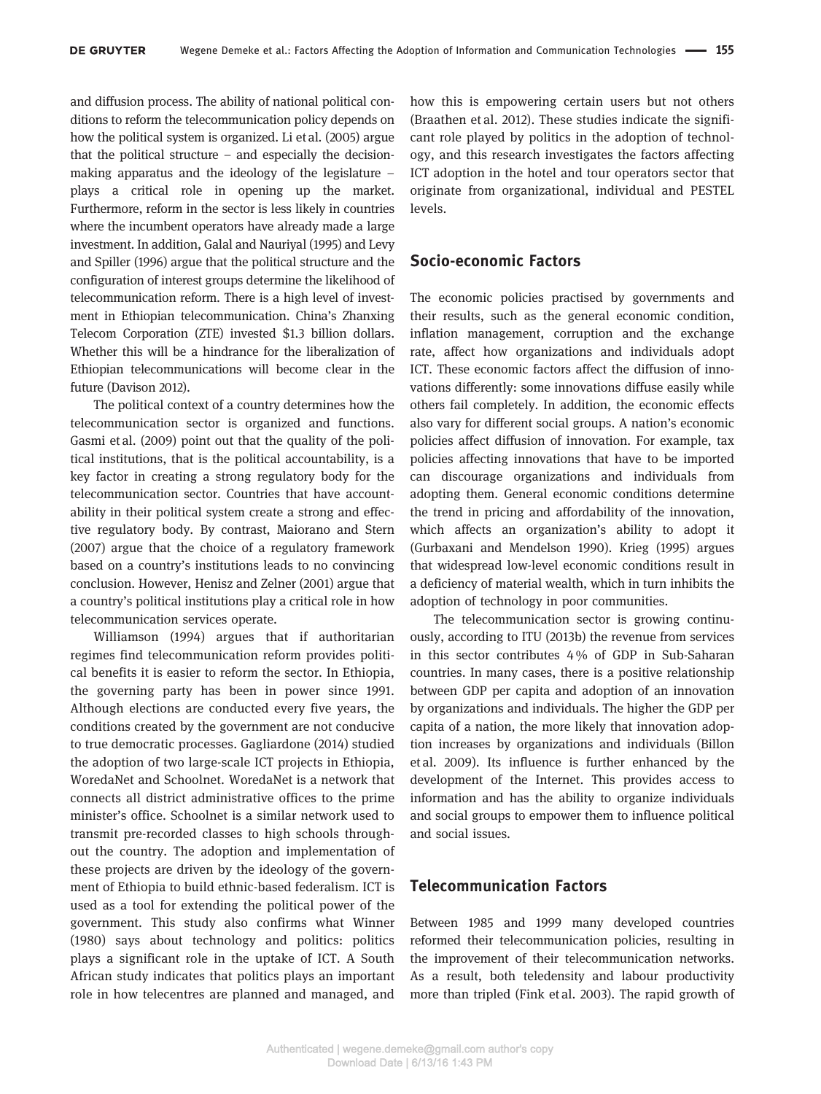and diffusion process. The ability of national political conditions to reform the telecommunication policy depends on how the political system is organized. Li et al. (2005) argue that the political structure – and especially the decisionmaking apparatus and the ideology of the legislature – plays a critical role in opening up the market. Furthermore, reform in the sector is less likely in countries where the incumbent operators have already made a large investment. In addition, Galal and Nauriyal (1995) and Levy and Spiller (1996) argue that the political structure and the configuration of interest groups determine the likelihood of telecommunication reform. There is a high level of investment in Ethiopian telecommunication. China's Zhanxing Telecom Corporation (ZTE) invested \$1.3 billion dollars. Whether this will be a hindrance for the liberalization of Ethiopian telecommunications will become clear in the future (Davison 2012).

The political context of a country determines how the telecommunication sector is organized and functions. Gasmi et al. (2009) point out that the quality of the political institutions, that is the political accountability, is a key factor in creating a strong regulatory body for the telecommunication sector. Countries that have accountability in their political system create a strong and effective regulatory body. By contrast, Maiorano and Stern (2007) argue that the choice of a regulatory framework based on a country's institutions leads to no convincing conclusion. However, Henisz and Zelner (2001) argue that a country's political institutions play a critical role in how telecommunication services operate.

Williamson (1994) argues that if authoritarian regimes find telecommunication reform provides political benefits it is easier to reform the sector. In Ethiopia, the governing party has been in power since 1991. Although elections are conducted every five years, the conditions created by the government are not conducive to true democratic processes. Gagliardone (2014) studied the adoption of two large-scale ICT projects in Ethiopia, WoredaNet and Schoolnet. WoredaNet is a network that connects all district administrative offices to the prime minister's office. Schoolnet is a similar network used to transmit pre-recorded classes to high schools throughout the country. The adoption and implementation of these projects are driven by the ideology of the government of Ethiopia to build ethnic-based federalism. ICT is used as a tool for extending the political power of the government. This study also confirms what Winner (1980) says about technology and politics: politics plays a significant role in the uptake of ICT. A South African study indicates that politics plays an important role in how telecentres are planned and managed, and

how this is empowering certain users but not others (Braathen et al. 2012). These studies indicate the significant role played by politics in the adoption of technology, and this research investigates the factors affecting ICT adoption in the hotel and tour operators sector that originate from organizational, individual and PESTEL levels.

## Socio-economic Factors

The economic policies practised by governments and their results, such as the general economic condition, inflation management, corruption and the exchange rate, affect how organizations and individuals adopt ICT. These economic factors affect the diffusion of innovations differently: some innovations diffuse easily while others fail completely. In addition, the economic effects also vary for different social groups. A nation's economic policies affect diffusion of innovation. For example, tax policies affecting innovations that have to be imported can discourage organizations and individuals from adopting them. General economic conditions determine the trend in pricing and affordability of the innovation, which affects an organization's ability to adopt it (Gurbaxani and Mendelson 1990). Krieg (1995) argues that widespread low-level economic conditions result in a deficiency of material wealth, which in turn inhibits the adoption of technology in poor communities.

The telecommunication sector is growing continuously, according to ITU (2013b) the revenue from services in this sector contributes 4 % of GDP in Sub-Saharan countries. In many cases, there is a positive relationship between GDP per capita and adoption of an innovation by organizations and individuals. The higher the GDP per capita of a nation, the more likely that innovation adoption increases by organizations and individuals (Billon et al. 2009). Its influence is further enhanced by the development of the Internet. This provides access to information and has the ability to organize individuals and social groups to empower them to influence political and social issues.

# Telecommunication Factors

Between 1985 and 1999 many developed countries reformed their telecommunication policies, resulting in the improvement of their telecommunication networks. As a result, both teledensity and labour productivity more than tripled (Fink et al. 2003). The rapid growth of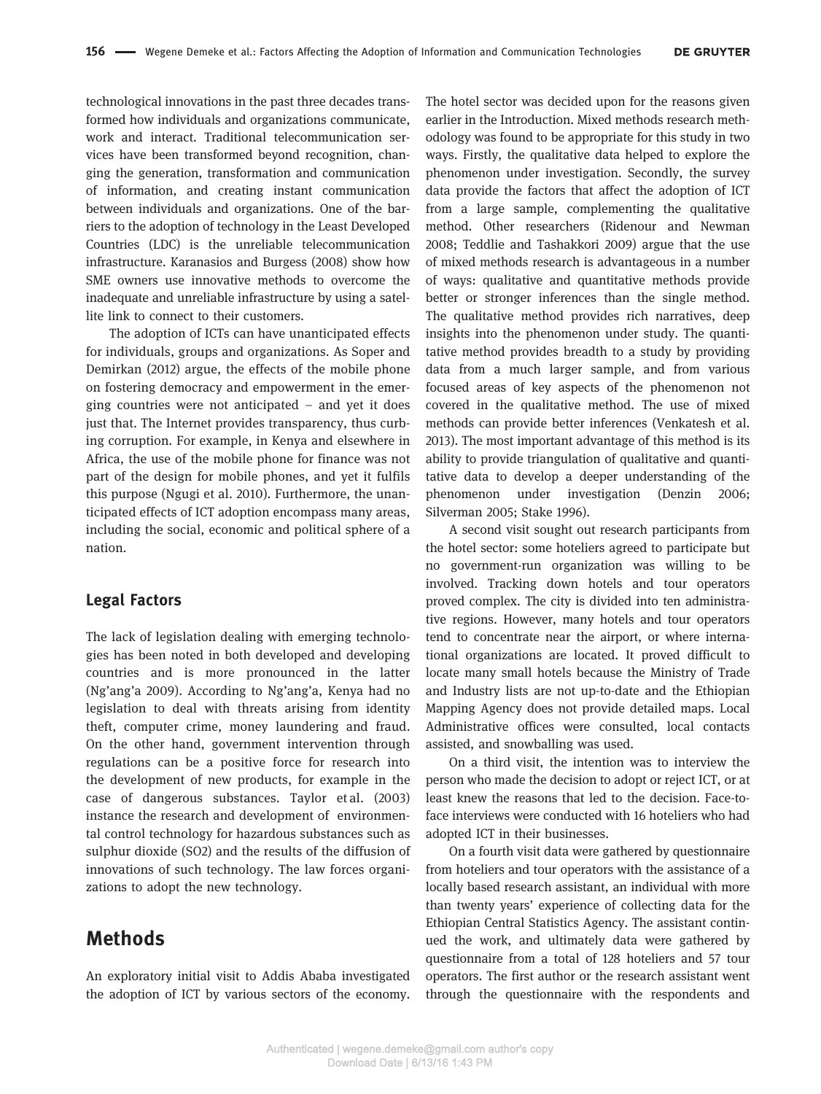technological innovations in the past three decades transformed how individuals and organizations communicate, work and interact. Traditional telecommunication services have been transformed beyond recognition, changing the generation, transformation and communication of information, and creating instant communication between individuals and organizations. One of the barriers to the adoption of technology in the Least Developed Countries (LDC) is the unreliable telecommunication infrastructure. Karanasios and Burgess (2008) show how SME owners use innovative methods to overcome the inadequate and unreliable infrastructure by using a satellite link to connect to their customers.

The adoption of ICTs can have unanticipated effects for individuals, groups and organizations. As Soper and Demirkan (2012) argue, the effects of the mobile phone on fostering democracy and empowerment in the emerging countries were not anticipated – and yet it does just that. The Internet provides transparency, thus curbing corruption. For example, in Kenya and elsewhere in Africa, the use of the mobile phone for finance was not part of the design for mobile phones, and yet it fulfils this purpose (Ngugi et al. 2010). Furthermore, the unanticipated effects of ICT adoption encompass many areas, including the social, economic and political sphere of a nation.

## Legal Factors

The lack of legislation dealing with emerging technologies has been noted in both developed and developing countries and is more pronounced in the latter (Ng'ang'a 2009). According to Ng'ang'a, Kenya had no legislation to deal with threats arising from identity theft, computer crime, money laundering and fraud. On the other hand, government intervention through regulations can be a positive force for research into the development of new products, for example in the case of dangerous substances. Taylor et al. (2003) instance the research and development of environmental control technology for hazardous substances such as sulphur dioxide (SO2) and the results of the diffusion of innovations of such technology. The law forces organizations to adopt the new technology.

# Methods

An exploratory initial visit to Addis Ababa investigated the adoption of ICT by various sectors of the economy. The hotel sector was decided upon for the reasons given earlier in the Introduction. Mixed methods research methodology was found to be appropriate for this study in two ways. Firstly, the qualitative data helped to explore the phenomenon under investigation. Secondly, the survey data provide the factors that affect the adoption of ICT from a large sample, complementing the qualitative method. Other researchers (Ridenour and Newman 2008; Teddlie and Tashakkori 2009) argue that the use of mixed methods research is advantageous in a number of ways: qualitative and quantitative methods provide better or stronger inferences than the single method. The qualitative method provides rich narratives, deep insights into the phenomenon under study. The quantitative method provides breadth to a study by providing data from a much larger sample, and from various focused areas of key aspects of the phenomenon not covered in the qualitative method. The use of mixed methods can provide better inferences (Venkatesh et al. 2013). The most important advantage of this method is its ability to provide triangulation of qualitative and quantitative data to develop a deeper understanding of the phenomenon under investigation (Denzin 2006; Silverman 2005; Stake 1996).

A second visit sought out research participants from the hotel sector: some hoteliers agreed to participate but no government-run organization was willing to be involved. Tracking down hotels and tour operators proved complex. The city is divided into ten administrative regions. However, many hotels and tour operators tend to concentrate near the airport, or where international organizations are located. It proved difficult to locate many small hotels because the Ministry of Trade and Industry lists are not up-to-date and the Ethiopian Mapping Agency does not provide detailed maps. Local Administrative offices were consulted, local contacts assisted, and snowballing was used.

On a third visit, the intention was to interview the person who made the decision to adopt or reject ICT, or at least knew the reasons that led to the decision. Face-toface interviews were conducted with 16 hoteliers who had adopted ICT in their businesses.

On a fourth visit data were gathered by questionnaire from hoteliers and tour operators with the assistance of a locally based research assistant, an individual with more than twenty years' experience of collecting data for the Ethiopian Central Statistics Agency. The assistant continued the work, and ultimately data were gathered by questionnaire from a total of 128 hoteliers and 57 tour operators. The first author or the research assistant went through the questionnaire with the respondents and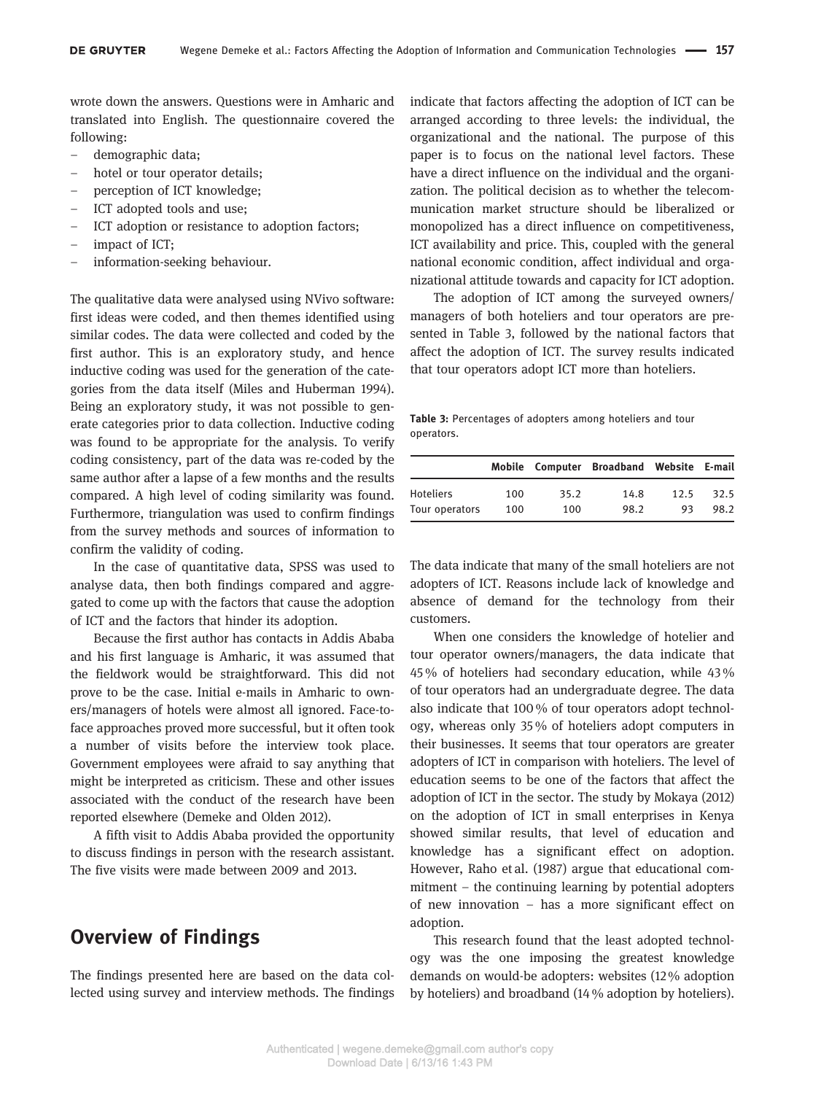wrote down the answers. Questions were in Amharic and translated into English. The questionnaire covered the following:

- demographic data;
- hotel or tour operator details;
- perception of ICT knowledge;
- ICT adopted tools and use;
- ICT adoption or resistance to adoption factors;
- impact of ICT:
- information-seeking behaviour.

The qualitative data were analysed using NVivo software: first ideas were coded, and then themes identified using similar codes. The data were collected and coded by the first author. This is an exploratory study, and hence inductive coding was used for the generation of the categories from the data itself (Miles and Huberman 1994). Being an exploratory study, it was not possible to generate categories prior to data collection. Inductive coding was found to be appropriate for the analysis. To verify coding consistency, part of the data was re-coded by the same author after a lapse of a few months and the results compared. A high level of coding similarity was found. Furthermore, triangulation was used to confirm findings from the survey methods and sources of information to confirm the validity of coding.

In the case of quantitative data, SPSS was used to analyse data, then both findings compared and aggregated to come up with the factors that cause the adoption of ICT and the factors that hinder its adoption.

Because the first author has contacts in Addis Ababa and his first language is Amharic, it was assumed that the fieldwork would be straightforward. This did not prove to be the case. Initial e-mails in Amharic to owners/managers of hotels were almost all ignored. Face-toface approaches proved more successful, but it often took a number of visits before the interview took place. Government employees were afraid to say anything that might be interpreted as criticism. These and other issues associated with the conduct of the research have been reported elsewhere (Demeke and Olden 2012).

A fifth visit to Addis Ababa provided the opportunity to discuss findings in person with the research assistant. The five visits were made between 2009 and 2013.

# Overview of Findings

The findings presented here are based on the data collected using survey and interview methods. The findings indicate that factors affecting the adoption of ICT can be arranged according to three levels: the individual, the organizational and the national. The purpose of this paper is to focus on the national level factors. These have a direct influence on the individual and the organization. The political decision as to whether the telecommunication market structure should be liberalized or monopolized has a direct influence on competitiveness, ICT availability and price. This, coupled with the general national economic condition, affect individual and organizational attitude towards and capacity for ICT adoption.

The adoption of ICT among the surveyed owners/ managers of both hoteliers and tour operators are presented in Table 3, followed by the national factors that affect the adoption of ICT. The survey results indicated that tour operators adopt ICT more than hoteliers.

Table 3: Percentages of adopters among hoteliers and tour operators.

|                |     |      | Mobile Computer Broadband Website E-mail |      |      |
|----------------|-----|------|------------------------------------------|------|------|
| Hoteliers      | 100 | 35.2 | 14.8                                     | 12.5 | 32.5 |
| Tour operators | 100 | 100  | 98.2                                     | 93   | 98.2 |

The data indicate that many of the small hoteliers are not adopters of ICT. Reasons include lack of knowledge and absence of demand for the technology from their customers.

When one considers the knowledge of hotelier and tour operator owners/managers, the data indicate that 45 % of hoteliers had secondary education, while 43 % of tour operators had an undergraduate degree. The data also indicate that 100 % of tour operators adopt technology, whereas only 35 % of hoteliers adopt computers in their businesses. It seems that tour operators are greater adopters of ICT in comparison with hoteliers. The level of education seems to be one of the factors that affect the adoption of ICT in the sector. The study by Mokaya (2012) on the adoption of ICT in small enterprises in Kenya showed similar results, that level of education and knowledge has a significant effect on adoption. However, Raho et al. (1987) argue that educational commitment – the continuing learning by potential adopters of new innovation – has a more significant effect on adoption.

This research found that the least adopted technology was the one imposing the greatest knowledge demands on would-be adopters: websites (12 % adoption by hoteliers) and broadband (14 % adoption by hoteliers).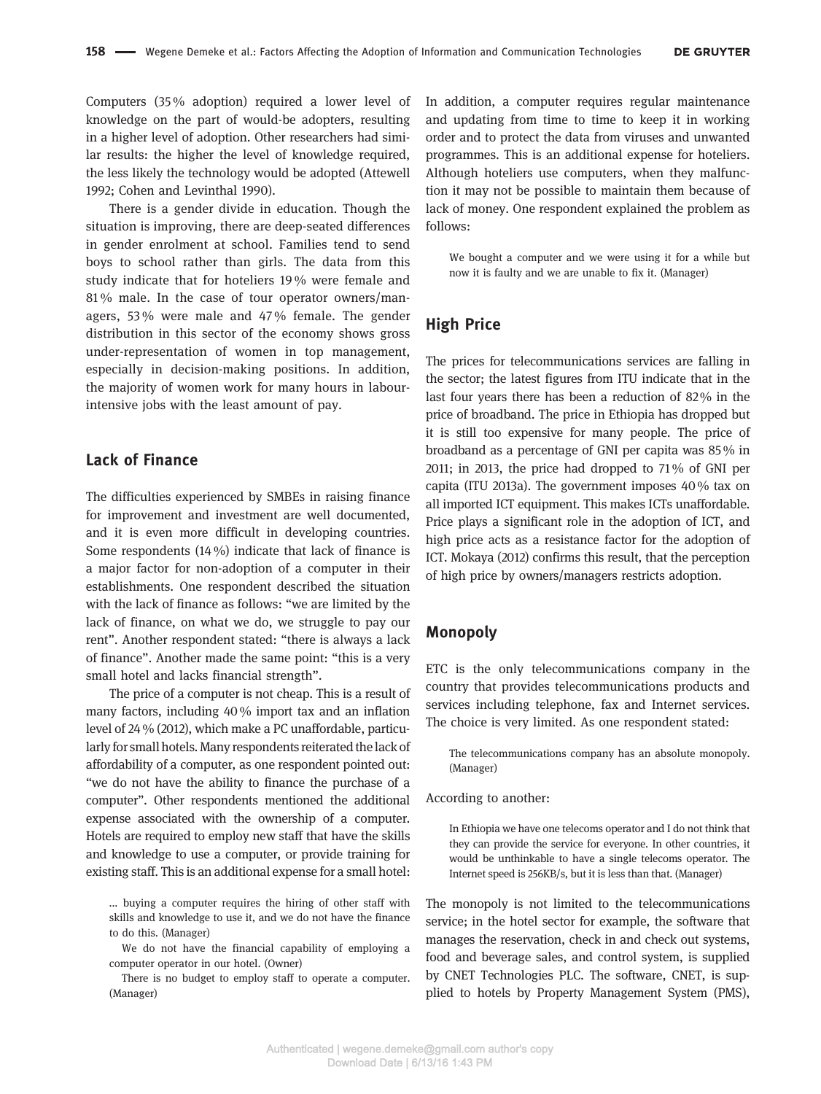Computers (35 % adoption) required a lower level of knowledge on the part of would-be adopters, resulting in a higher level of adoption. Other researchers had similar results: the higher the level of knowledge required, the less likely the technology would be adopted (Attewell 1992; Cohen and Levinthal 1990).

There is a gender divide in education. Though the situation is improving, there are deep-seated differences in gender enrolment at school. Families tend to send boys to school rather than girls. The data from this study indicate that for hoteliers 19 % were female and 81 % male. In the case of tour operator owners/managers, 53 % were male and 47 % female. The gender distribution in this sector of the economy shows gross under-representation of women in top management, especially in decision-making positions. In addition, the majority of women work for many hours in labourintensive jobs with the least amount of pay.

### Lack of Finance

The difficulties experienced by SMBEs in raising finance for improvement and investment are well documented, and it is even more difficult in developing countries. Some respondents (14 %) indicate that lack of finance is a major factor for non-adoption of a computer in their establishments. One respondent described the situation with the lack of finance as follows: "we are limited by the lack of finance, on what we do, we struggle to pay our rent". Another respondent stated: "there is always a lack of finance". Another made the same point: "this is a very small hotel and lacks financial strength".

The price of a computer is not cheap. This is a result of many factors, including 40 % import tax and an inflation level of 24 % (2012), which make a PC unaffordable, particularly for small hotels. Many respondents reiterated thelack of affordability of a computer, as one respondent pointed out: "we do not have the ability to finance the purchase of a computer". Other respondents mentioned the additional expense associated with the ownership of a computer. Hotels are required to employ new staff that have the skills and knowledge to use a computer, or provide training for existing staff. This is an additional expense for a small hotel:

... buying a computer requires the hiring of other staff with skills and knowledge to use it, and we do not have the finance to do this. (Manager)

We do not have the financial capability of employing a computer operator in our hotel. (Owner)

There is no budget to employ staff to operate a computer. (Manager)

In addition, a computer requires regular maintenance and updating from time to time to keep it in working order and to protect the data from viruses and unwanted programmes. This is an additional expense for hoteliers. Although hoteliers use computers, when they malfunction it may not be possible to maintain them because of lack of money. One respondent explained the problem as follows:

We bought a computer and we were using it for a while but now it is faulty and we are unable to fix it. (Manager)

# High Price

The prices for telecommunications services are falling in the sector; the latest figures from ITU indicate that in the last four years there has been a reduction of 82% in the price of broadband. The price in Ethiopia has dropped but it is still too expensive for many people. The price of broadband as a percentage of GNI per capita was 85% in 2011; in 2013, the price had dropped to  $71\%$  of GNI per capita (ITU 2013a). The government imposes 40 % tax on all imported ICT equipment. This makes ICTs unaffordable. Price plays a significant role in the adoption of ICT, and high price acts as a resistance factor for the adoption of ICT. Mokaya (2012) confirms this result, that the perception of high price by owners/managers restricts adoption.

#### Monopoly

ETC is the only telecommunications company in the country that provides telecommunications products and services including telephone, fax and Internet services. The choice is very limited. As one respondent stated:

The telecommunications company has an absolute monopoly. (Manager)

According to another:

In Ethiopia we have one telecoms operator and I do not think that they can provide the service for everyone. In other countries, it would be unthinkable to have a single telecoms operator. The Internet speed is 256KB/s, but it is less than that. (Manager)

The monopoly is not limited to the telecommunications service; in the hotel sector for example, the software that manages the reservation, check in and check out systems, food and beverage sales, and control system, is supplied by CNET Technologies PLC. The software, CNET, is supplied to hotels by Property Management System (PMS),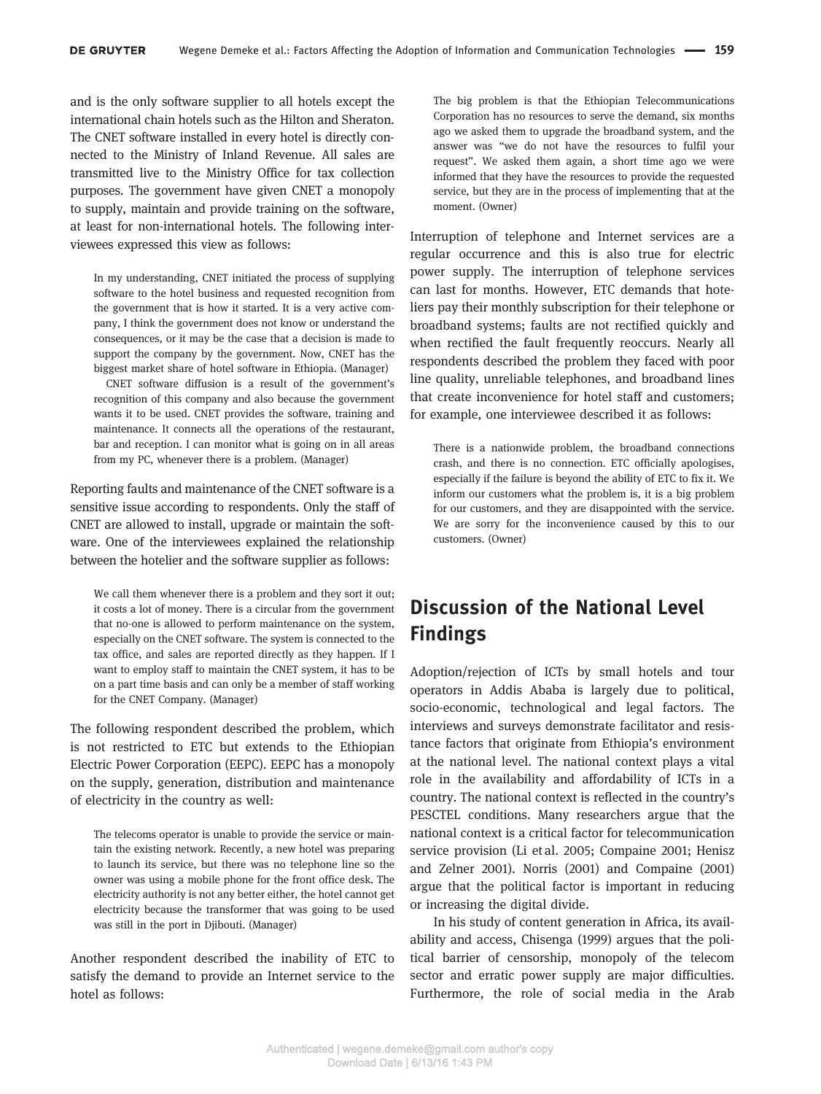and is the only software supplier to all hotels except the international chain hotels such as the Hilton and Sheraton. The CNET software installed in every hotel is directly connected to the Ministry of Inland Revenue. All sales are transmitted live to the Ministry Office for tax collection purposes. The government have given CNET a monopoly to supply, maintain and provide training on the software, at least for non-international hotels. The following interviewees expressed this view as follows:

In my understanding, CNET initiated the process of supplying software to the hotel business and requested recognition from the government that is how it started. It is a very active company, I think the government does not know or understand the consequences, or it may be the case that a decision is made to support the company by the government. Now, CNET has the biggest market share of hotel software in Ethiopia. (Manager)

CNET software diffusion is a result of the government's recognition of this company and also because the government wants it to be used. CNET provides the software, training and maintenance. It connects all the operations of the restaurant, bar and reception. I can monitor what is going on in all areas from my PC, whenever there is a problem. (Manager)

Reporting faults and maintenance of the CNET software is a sensitive issue according to respondents. Only the staff of CNET are allowed to install, upgrade or maintain the software. One of the interviewees explained the relationship between the hotelier and the software supplier as follows:

We call them whenever there is a problem and they sort it out; it costs a lot of money. There is a circular from the government that no-one is allowed to perform maintenance on the system, especially on the CNET software. The system is connected to the tax office, and sales are reported directly as they happen. If I want to employ staff to maintain the CNET system, it has to be on a part time basis and can only be a member of staff working for the CNET Company. (Manager)

The following respondent described the problem, which is not restricted to ETC but extends to the Ethiopian Electric Power Corporation (EEPC). EEPC has a monopoly on the supply, generation, distribution and maintenance of electricity in the country as well:

The telecoms operator is unable to provide the service or maintain the existing network. Recently, a new hotel was preparing to launch its service, but there was no telephone line so the owner was using a mobile phone for the front office desk. The electricity authority is not any better either, the hotel cannot get electricity because the transformer that was going to be used was still in the port in Djibouti. (Manager)

Another respondent described the inability of ETC to satisfy the demand to provide an Internet service to the hotel as follows:

The big problem is that the Ethiopian Telecommunications Corporation has no resources to serve the demand, six months ago we asked them to upgrade the broadband system, and the answer was "we do not have the resources to fulfil your request". We asked them again, a short time ago we were informed that they have the resources to provide the requested service, but they are in the process of implementing that at the moment. (Owner)

Interruption of telephone and Internet services are a regular occurrence and this is also true for electric power supply. The interruption of telephone services can last for months. However, ETC demands that hoteliers pay their monthly subscription for their telephone or broadband systems; faults are not rectified quickly and when rectified the fault frequently reoccurs. Nearly all respondents described the problem they faced with poor line quality, unreliable telephones, and broadband lines that create inconvenience for hotel staff and customers; for example, one interviewee described it as follows:

There is a nationwide problem, the broadband connections crash, and there is no connection. ETC officially apologises, especially if the failure is beyond the ability of ETC to fix it. We inform our customers what the problem is, it is a big problem for our customers, and they are disappointed with the service. We are sorry for the inconvenience caused by this to our customers. (Owner)

# Discussion of the National Level Findings

Adoption/rejection of ICTs by small hotels and tour operators in Addis Ababa is largely due to political, socio-economic, technological and legal factors. The interviews and surveys demonstrate facilitator and resistance factors that originate from Ethiopia's environment at the national level. The national context plays a vital role in the availability and affordability of ICTs in a country. The national context is reflected in the country's PESCTEL conditions. Many researchers argue that the national context is a critical factor for telecommunication service provision (Li et al. 2005; Compaine 2001; Henisz and Zelner 2001). Norris (2001) and Compaine (2001) argue that the political factor is important in reducing or increasing the digital divide.

In his study of content generation in Africa, its availability and access, Chisenga (1999) argues that the political barrier of censorship, monopoly of the telecom sector and erratic power supply are major difficulties. Furthermore, the role of social media in the Arab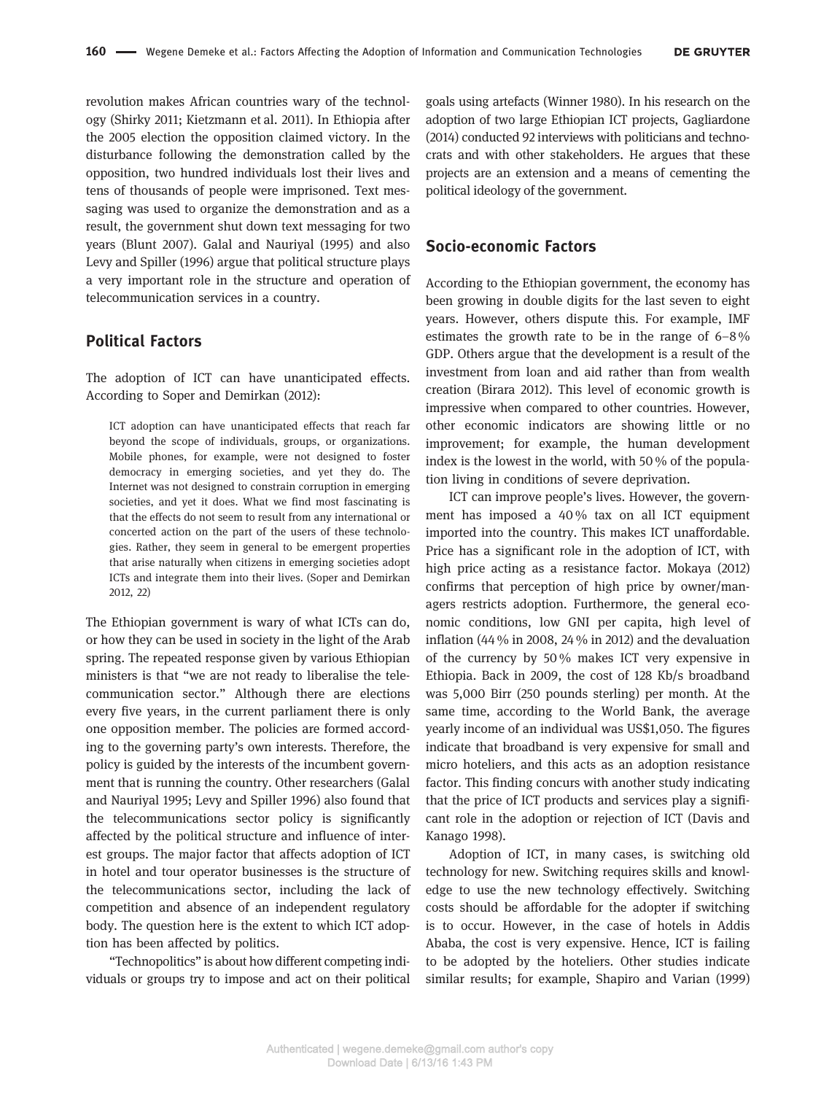revolution makes African countries wary of the technology (Shirky 2011; Kietzmann et al. 2011). In Ethiopia after the 2005 election the opposition claimed victory. In the disturbance following the demonstration called by the opposition, two hundred individuals lost their lives and tens of thousands of people were imprisoned. Text messaging was used to organize the demonstration and as a result, the government shut down text messaging for two years (Blunt 2007). Galal and Nauriyal (1995) and also Levy and Spiller (1996) argue that political structure plays a very important role in the structure and operation of telecommunication services in a country.

## Political Factors

The adoption of ICT can have unanticipated effects. According to Soper and Demirkan (2012):

ICT adoption can have unanticipated effects that reach far beyond the scope of individuals, groups, or organizations. Mobile phones, for example, were not designed to foster democracy in emerging societies, and yet they do. The Internet was not designed to constrain corruption in emerging societies, and yet it does. What we find most fascinating is that the effects do not seem to result from any international or concerted action on the part of the users of these technologies. Rather, they seem in general to be emergent properties that arise naturally when citizens in emerging societies adopt ICTs and integrate them into their lives. (Soper and Demirkan 2012, 22)

The Ethiopian government is wary of what ICTs can do, or how they can be used in society in the light of the Arab spring. The repeated response given by various Ethiopian ministers is that "we are not ready to liberalise the telecommunication sector." Although there are elections every five years, in the current parliament there is only one opposition member. The policies are formed according to the governing party's own interests. Therefore, the policy is guided by the interests of the incumbent government that is running the country. Other researchers (Galal and Nauriyal 1995; Levy and Spiller 1996) also found that the telecommunications sector policy is significantly affected by the political structure and influence of interest groups. The major factor that affects adoption of ICT in hotel and tour operator businesses is the structure of the telecommunications sector, including the lack of competition and absence of an independent regulatory body. The question here is the extent to which ICT adoption has been affected by politics.

"Technopolitics" is about how different competing individuals or groups try to impose and act on their political

goals using artefacts (Winner 1980). In his research on the adoption of two large Ethiopian ICT projects, Gagliardone (2014) conducted 92 interviews with politicians and technocrats and with other stakeholders. He argues that these projects are an extension and a means of cementing the political ideology of the government.

## Socio-economic Factors

According to the Ethiopian government, the economy has been growing in double digits for the last seven to eight years. However, others dispute this. For example, IMF estimates the growth rate to be in the range of  $6-8\%$ GDP. Others argue that the development is a result of the investment from loan and aid rather than from wealth creation (Birara 2012). This level of economic growth is impressive when compared to other countries. However, other economic indicators are showing little or no improvement; for example, the human development index is the lowest in the world, with 50 % of the population living in conditions of severe deprivation.

ICT can improve people's lives. However, the government has imposed a 40 % tax on all ICT equipment imported into the country. This makes ICT unaffordable. Price has a significant role in the adoption of ICT, with high price acting as a resistance factor. Mokaya (2012) confirms that perception of high price by owner/managers restricts adoption. Furthermore, the general economic conditions, low GNI per capita, high level of inflation (44  $\%$  in 2008, 24  $\%$  in 2012) and the devaluation of the currency by 50 % makes ICT very expensive in Ethiopia. Back in 2009, the cost of 128 Kb/s broadband was 5,000 Birr (250 pounds sterling) per month. At the same time, according to the World Bank, the average yearly income of an individual was US\$1,050. The figures indicate that broadband is very expensive for small and micro hoteliers, and this acts as an adoption resistance factor. This finding concurs with another study indicating that the price of ICT products and services play a significant role in the adoption or rejection of ICT (Davis and Kanago 1998).

Adoption of ICT, in many cases, is switching old technology for new. Switching requires skills and knowledge to use the new technology effectively. Switching costs should be affordable for the adopter if switching is to occur. However, in the case of hotels in Addis Ababa, the cost is very expensive. Hence, ICT is failing to be adopted by the hoteliers. Other studies indicate similar results; for example, Shapiro and Varian (1999)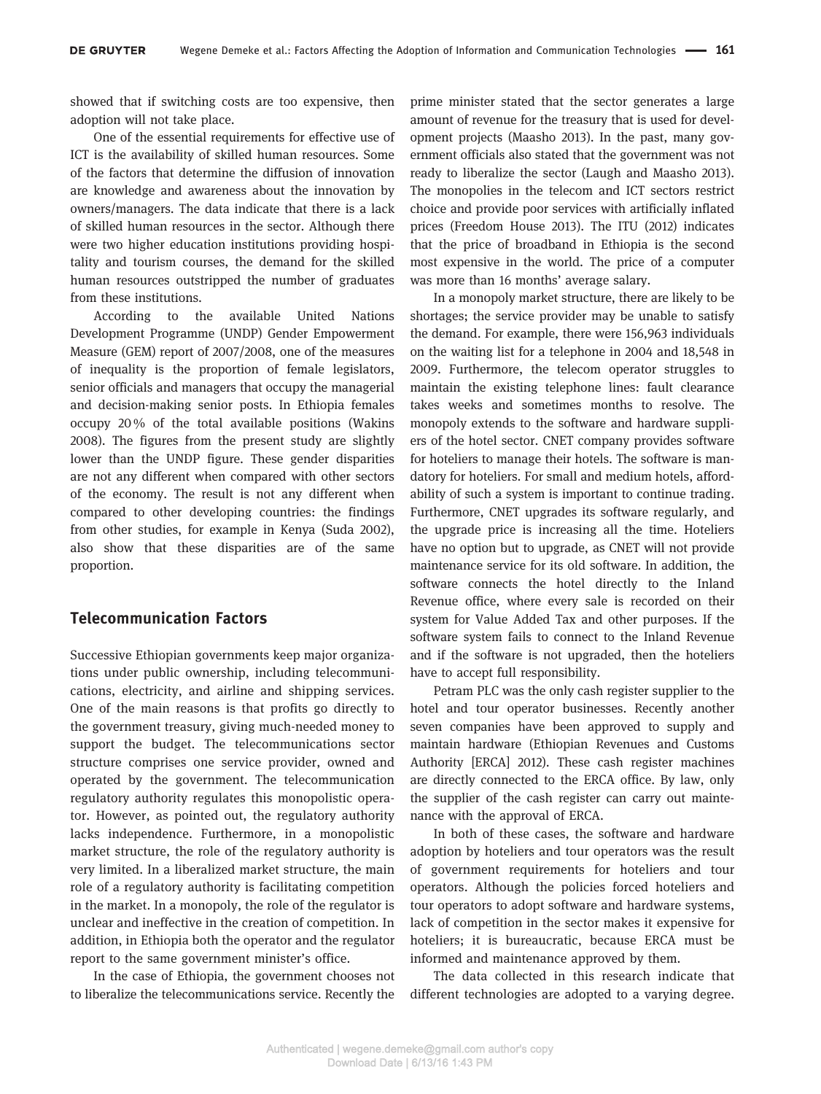showed that if switching costs are too expensive, then adoption will not take place.

One of the essential requirements for effective use of ICT is the availability of skilled human resources. Some of the factors that determine the diffusion of innovation are knowledge and awareness about the innovation by owners/managers. The data indicate that there is a lack of skilled human resources in the sector. Although there were two higher education institutions providing hospitality and tourism courses, the demand for the skilled human resources outstripped the number of graduates from these institutions.

According to the available United Nations Development Programme (UNDP) Gender Empowerment Measure (GEM) report of 2007/2008, one of the measures of inequality is the proportion of female legislators, senior officials and managers that occupy the managerial and decision-making senior posts. In Ethiopia females occupy 20 % of the total available positions (Wakins 2008). The figures from the present study are slightly lower than the UNDP figure. These gender disparities are not any different when compared with other sectors of the economy. The result is not any different when compared to other developing countries: the findings from other studies, for example in Kenya (Suda 2002), also show that these disparities are of the same proportion.

## Telecommunication Factors

Successive Ethiopian governments keep major organizations under public ownership, including telecommunications, electricity, and airline and shipping services. One of the main reasons is that profits go directly to the government treasury, giving much-needed money to support the budget. The telecommunications sector structure comprises one service provider, owned and operated by the government. The telecommunication regulatory authority regulates this monopolistic operator. However, as pointed out, the regulatory authority lacks independence. Furthermore, in a monopolistic market structure, the role of the regulatory authority is very limited. In a liberalized market structure, the main role of a regulatory authority is facilitating competition in the market. In a monopoly, the role of the regulator is unclear and ineffective in the creation of competition. In addition, in Ethiopia both the operator and the regulator report to the same government minister's office.

In the case of Ethiopia, the government chooses not to liberalize the telecommunications service. Recently the prime minister stated that the sector generates a large amount of revenue for the treasury that is used for development projects (Maasho 2013). In the past, many government officials also stated that the government was not ready to liberalize the sector (Laugh and Maasho 2013). The monopolies in the telecom and ICT sectors restrict choice and provide poor services with artificially inflated prices (Freedom House 2013). The ITU (2012) indicates that the price of broadband in Ethiopia is the second most expensive in the world. The price of a computer was more than 16 months' average salary.

In a monopoly market structure, there are likely to be shortages; the service provider may be unable to satisfy the demand. For example, there were 156,963 individuals on the waiting list for a telephone in 2004 and 18,548 in 2009. Furthermore, the telecom operator struggles to maintain the existing telephone lines: fault clearance takes weeks and sometimes months to resolve. The monopoly extends to the software and hardware suppliers of the hotel sector. CNET company provides software for hoteliers to manage their hotels. The software is mandatory for hoteliers. For small and medium hotels, affordability of such a system is important to continue trading. Furthermore, CNET upgrades its software regularly, and the upgrade price is increasing all the time. Hoteliers have no option but to upgrade, as CNET will not provide maintenance service for its old software. In addition, the software connects the hotel directly to the Inland Revenue office, where every sale is recorded on their system for Value Added Tax and other purposes. If the software system fails to connect to the Inland Revenue and if the software is not upgraded, then the hoteliers have to accept full responsibility.

Petram PLC was the only cash register supplier to the hotel and tour operator businesses. Recently another seven companies have been approved to supply and maintain hardware (Ethiopian Revenues and Customs Authority [ERCA] 2012). These cash register machines are directly connected to the ERCA office. By law, only the supplier of the cash register can carry out maintenance with the approval of ERCA.

In both of these cases, the software and hardware adoption by hoteliers and tour operators was the result of government requirements for hoteliers and tour operators. Although the policies forced hoteliers and tour operators to adopt software and hardware systems, lack of competition in the sector makes it expensive for hoteliers; it is bureaucratic, because ERCA must be informed and maintenance approved by them.

The data collected in this research indicate that different technologies are adopted to a varying degree.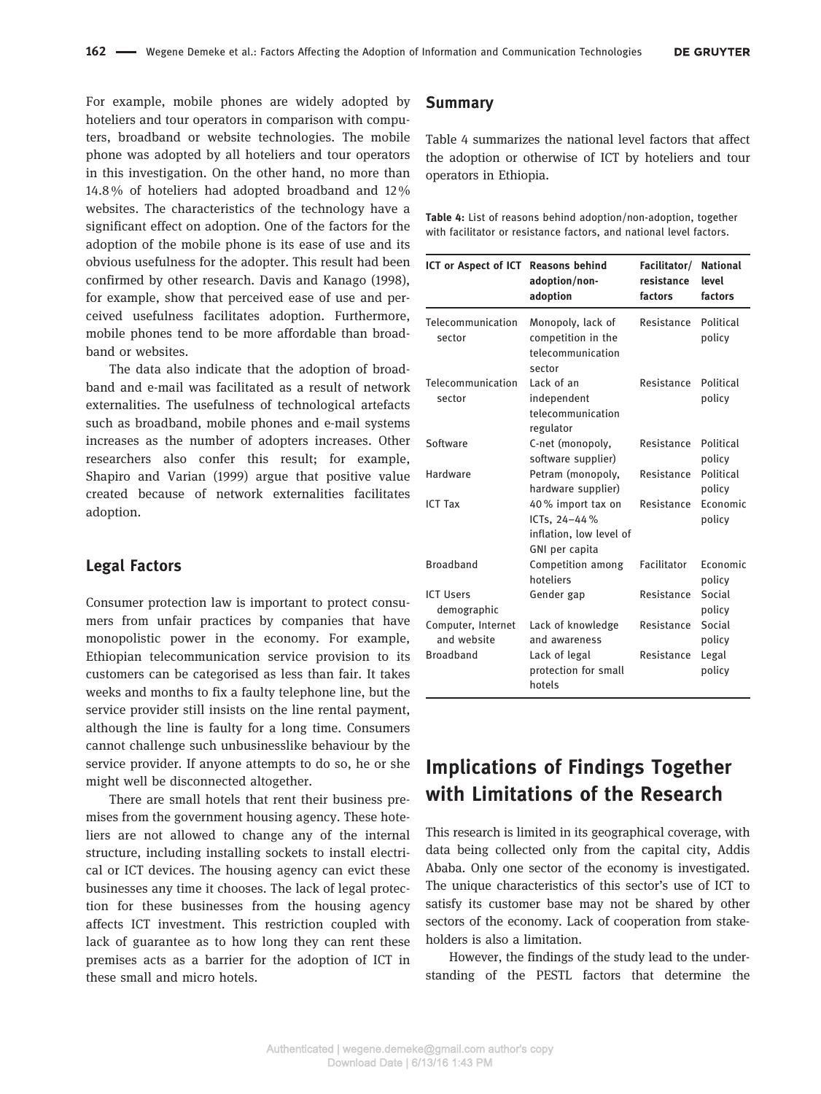For example, mobile phones are widely adopted by hoteliers and tour operators in comparison with computers, broadband or website technologies. The mobile phone was adopted by all hoteliers and tour operators in this investigation. On the other hand, no more than 14.8 % of hoteliers had adopted broadband and 12 % websites. The characteristics of the technology have a significant effect on adoption. One of the factors for the adoption of the mobile phone is its ease of use and its obvious usefulness for the adopter. This result had been confirmed by other research. Davis and Kanago (1998), for example, show that perceived ease of use and perceived usefulness facilitates adoption. Furthermore, mobile phones tend to be more affordable than broadband or websites.

The data also indicate that the adoption of broadband and e-mail was facilitated as a result of network externalities. The usefulness of technological artefacts such as broadband, mobile phones and e-mail systems increases as the number of adopters increases. Other researchers also confer this result; for example, Shapiro and Varian (1999) argue that positive value created because of network externalities facilitates adoption.

### Legal Factors

Consumer protection law is important to protect consumers from unfair practices by companies that have monopolistic power in the economy. For example, Ethiopian telecommunication service provision to its customers can be categorised as less than fair. It takes weeks and months to fix a faulty telephone line, but the service provider still insists on the line rental payment, although the line is faulty for a long time. Consumers cannot challenge such unbusinesslike behaviour by the service provider. If anyone attempts to do so, he or she might well be disconnected altogether.

There are small hotels that rent their business premises from the government housing agency. These hoteliers are not allowed to change any of the internal structure, including installing sockets to install electrical or ICT devices. The housing agency can evict these businesses any time it chooses. The lack of legal protection for these businesses from the housing agency affects ICT investment. This restriction coupled with lack of guarantee as to how long they can rent these premises acts as a barrier for the adoption of ICT in these small and micro hotels.

#### **Summary**

Table 4 summarizes the national level factors that affect the adoption or otherwise of ICT by hoteliers and tour operators in Ethiopia.

| Table 4: List of reasons behind adoption/non-adoption, together     |  |
|---------------------------------------------------------------------|--|
| with facilitator or resistance factors, and national level factors. |  |

| ICT or Aspect of ICT              | <b>Reasons behind</b><br>adoption/non-<br>adoption                             | Facilitator/<br>resistance<br>factors | <b>National</b><br>level<br>factors |
|-----------------------------------|--------------------------------------------------------------------------------|---------------------------------------|-------------------------------------|
| Telecommunication<br>sector       | Monopoly, lack of<br>competition in the<br>telecommunication<br>sector         | Resistance                            | Political<br>policy                 |
| Telecommunication<br>sector       | Lack of an<br>independent<br>telecommunication<br>regulator                    | Resistance                            | Political<br>policy                 |
| Software                          | C-net (monopoly,<br>software supplier)                                         | Resistance                            | Political<br>policy                 |
| Hardware                          | Petram (monopoly,<br>hardware supplier)                                        | Resistance                            | Political<br>policy                 |
| <b>ICT Tax</b>                    | 40% import tax on<br>ICTs, 24-44%<br>inflation, low level of<br>GNI per capita | Resistance                            | Economic<br>policy                  |
| <b>Broadband</b>                  | Competition among<br>hoteliers                                                 | Facilitator                           | Economic<br>policy                  |
| <b>ICT Users</b><br>demographic   | Gender gap                                                                     | Resistance                            | Social<br>policy                    |
| Computer, Internet<br>and website | Lack of knowledge<br>and awareness                                             | Resistance                            | Social<br>policy                    |
| <b>Broadband</b>                  | Lack of legal<br>protection for small<br>hotels                                | Resistance                            | Legal<br>policy                     |

# Implications of Findings Together with Limitations of the Research

This research is limited in its geographical coverage, with data being collected only from the capital city, Addis Ababa. Only one sector of the economy is investigated. The unique characteristics of this sector's use of ICT to satisfy its customer base may not be shared by other sectors of the economy. Lack of cooperation from stakeholders is also a limitation.

However, the findings of the study lead to the understanding of the PESTL factors that determine the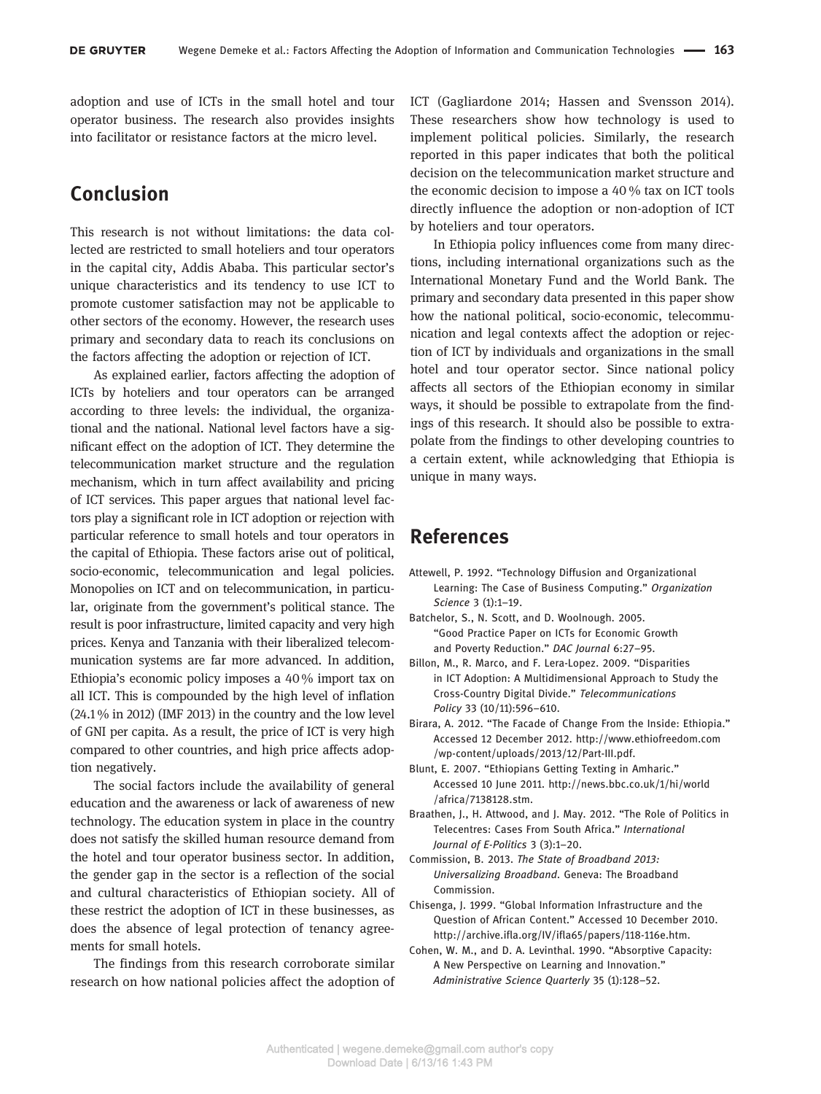adoption and use of ICTs in the small hotel and tour operator business. The research also provides insights into facilitator or resistance factors at the micro level.

# Conclusion

This research is not without limitations: the data collected are restricted to small hoteliers and tour operators in the capital city, Addis Ababa. This particular sector's unique characteristics and its tendency to use ICT to promote customer satisfaction may not be applicable to other sectors of the economy. However, the research uses primary and secondary data to reach its conclusions on the factors affecting the adoption or rejection of ICT.

As explained earlier, factors affecting the adoption of ICTs by hoteliers and tour operators can be arranged according to three levels: the individual, the organizational and the national. National level factors have a significant effect on the adoption of ICT. They determine the telecommunication market structure and the regulation mechanism, which in turn affect availability and pricing of ICT services. This paper argues that national level factors play a significant role in ICT adoption or rejection with particular reference to small hotels and tour operators in the capital of Ethiopia. These factors arise out of political, socio-economic, telecommunication and legal policies. Monopolies on ICT and on telecommunication, in particular, originate from the government's political stance. The result is poor infrastructure, limited capacity and very high prices. Kenya and Tanzania with their liberalized telecommunication systems are far more advanced. In addition, Ethiopia's economic policy imposes a 40% import tax on all ICT. This is compounded by the high level of inflation  $(24.1\%$  in 2012) (IMF 2013) in the country and the low level of GNI per capita. As a result, the price of ICT is very high compared to other countries, and high price affects adoption negatively.

The social factors include the availability of general education and the awareness or lack of awareness of new technology. The education system in place in the country does not satisfy the skilled human resource demand from the hotel and tour operator business sector. In addition, the gender gap in the sector is a reflection of the social and cultural characteristics of Ethiopian society. All of these restrict the adoption of ICT in these businesses, as does the absence of legal protection of tenancy agreements for small hotels.

The findings from this research corroborate similar research on how national policies affect the adoption of ICT (Gagliardone 2014; Hassen and Svensson 2014). These researchers show how technology is used to implement political policies. Similarly, the research reported in this paper indicates that both the political decision on the telecommunication market structure and the economic decision to impose a 40 % tax on ICT tools directly influence the adoption or non-adoption of ICT by hoteliers and tour operators.

In Ethiopia policy influences come from many directions, including international organizations such as the International Monetary Fund and the World Bank. The primary and secondary data presented in this paper show how the national political, socio-economic, telecommunication and legal contexts affect the adoption or rejection of ICT by individuals and organizations in the small hotel and tour operator sector. Since national policy affects all sectors of the Ethiopian economy in similar ways, it should be possible to extrapolate from the findings of this research. It should also be possible to extrapolate from the findings to other developing countries to a certain extent, while acknowledging that Ethiopia is unique in many ways.

# References

- Attewell, P. 1992. "Technology Diffusion and Organizational Learning: The Case of Business Computing." Organization Science 3 (1):1–19.
- Batchelor, S., N. Scott, and D. Woolnough. 2005. "Good Practice Paper on ICTs for Economic Growth and Poverty Reduction." DAC Journal 6:27–95.
- Billon, M., R. Marco, and F. Lera-Lopez. 2009. "Disparities in ICT Adoption: A Multidimensional Approach to Study the Cross-Country Digital Divide." Telecommunications Policy 33 (10/11):596–610.
- Birara, A. 2012. "The Facade of Change From the Inside: Ethiopia." Accessed 12 December 2012. http://www.ethiofreedom.com /wp-content/uploads/2013/12/Part-III.pdf.
- Blunt, E. 2007. "Ethiopians Getting Texting in Amharic." Accessed 10 June 2011. http://news.bbc.co.uk/1/hi/world /africa/7138128.stm.
- Braathen, J., H. Attwood, and J. May. 2012. "The Role of Politics in Telecentres: Cases From South Africa." International Journal of E-Politics 3 (3):1–20.
- Commission, B. 2013. The State of Broadband 2013: Universalizing Broadband. Geneva: The Broadband Commission.
- Chisenga, J. 1999. "Global Information Infrastructure and the Question of African Content." Accessed 10 December 2010. http://archive.ifla.org/IV/ifla65/papers/118-116e.htm.
- Cohen, W. M., and D. A. Levinthal. 1990. "Absorptive Capacity: A New Perspective on Learning and Innovation." Administrative Science Quarterly 35 (1):128–52.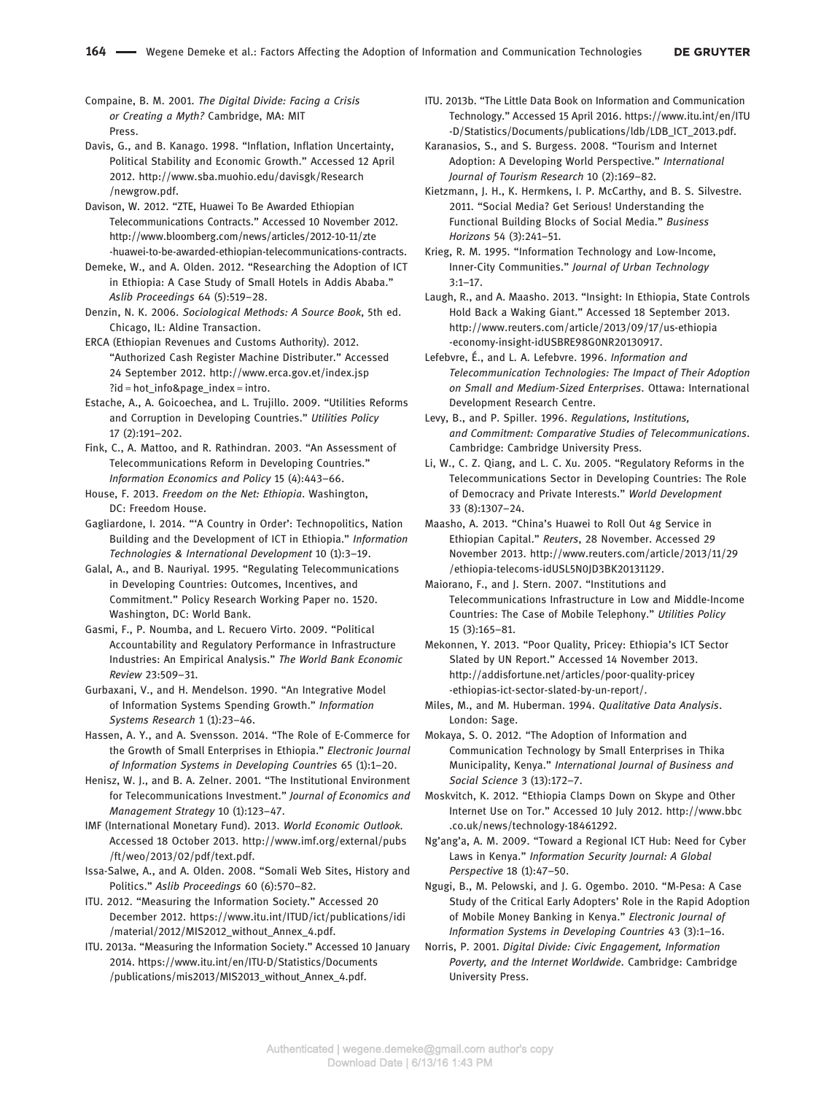Compaine, B. M. 2001. The Digital Divide: Facing a Crisis or Creating a Myth? Cambridge, MA: MIT Press.

Davis, G., and B. Kanago. 1998. "Inflation, Inflation Uncertainty, Political Stability and Economic Growth." Accessed 12 April 2012. http://www.sba.muohio.edu/davisgk/Research /newgrow.pdf.

Davison, W. 2012. "ZTE, Huawei To Be Awarded Ethiopian Telecommunications Contracts." Accessed 10 November 2012. http://www.bloomberg.com/news/articles/2012-10-11/zte -huawei-to-be-awarded-ethiopian-telecommunications-contracts.

Demeke, W., and A. Olden. 2012. "Researching the Adoption of ICT in Ethiopia: A Case Study of Small Hotels in Addis Ababa." Aslib Proceedings 64 (5):519–28.

Denzin, N. K. 2006. Sociological Methods: A Source Book, 5th ed. Chicago, IL: Aldine Transaction.

ERCA (Ethiopian Revenues and Customs Authority). 2012. "Authorized Cash Register Machine Distributer." Accessed 24 September 2012. http://www.erca.gov.et/index.jsp ?id = hot\_info&page\_index = intro.

Estache, A., A. Goicoechea, and L. Trujillo. 2009. "Utilities Reforms and Corruption in Developing Countries." Utilities Policy 17 (2):191–202.

Fink, C., A. Mattoo, and R. Rathindran. 2003. "An Assessment of Telecommunications Reform in Developing Countries." Information Economics and Policy 15 (4):443–66.

House, F. 2013. Freedom on the Net: Ethiopia. Washington, DC: Freedom House.

Gagliardone, I. 2014. "'A Country in Order': Technopolitics, Nation Building and the Development of ICT in Ethiopia." Information Technologies & International Development 10 (1):3–19.

Galal, A., and B. Nauriyal. 1995. "Regulating Telecommunications in Developing Countries: Outcomes, Incentives, and Commitment." Policy Research Working Paper no. 1520. Washington, DC: World Bank.

Gasmi, F., P. Noumba, and L. Recuero Virto. 2009. "Political Accountability and Regulatory Performance in Infrastructure Industries: An Empirical Analysis." The World Bank Economic Review 23:509–31.

Gurbaxani, V., and H. Mendelson. 1990. "An Integrative Model of Information Systems Spending Growth." Information Systems Research 1 (1):23–46.

Hassen, A. Y., and A. Svensson. 2014. "The Role of E-Commerce for the Growth of Small Enterprises in Ethiopia." Electronic Journal of Information Systems in Developing Countries 65 (1):1–20.

Henisz, W. J., and B. A. Zelner. 2001. "The Institutional Environment for Telecommunications Investment." Journal of Economics and Management Strategy 10 (1):123-47.

IMF (International Monetary Fund). 2013. World Economic Outlook. Accessed 18 October 2013. http://www.imf.org/external/pubs /ft/weo/2013/02/pdf/text.pdf.

Issa-Salwe, A., and A. Olden. 2008. "Somali Web Sites, History and Politics." Aslib Proceedings 60 (6):570–82.

ITU. 2012. "Measuring the Information Society." Accessed 20 December 2012. https://www.itu.int/ITUD/ict/publications/idi /material/2012/MIS2012\_without\_Annex\_4.pdf.

ITU. 2013a. "Measuring the Information Society." Accessed 10 January 2014. https://www.itu.int/en/ITU-D/Statistics/Documents /publications/mis2013/MIS2013\_without\_Annex\_4.pdf.

ITU. 2013b. "The Little Data Book on Information and Communication Technology." Accessed 15 April 2016. https://www.itu.int/en/ITU -D/Statistics/Documents/publications/ldb/LDB\_ICT\_2013.pdf.

Karanasios, S., and S. Burgess. 2008. "Tourism and Internet Adoption: A Developing World Perspective." International Journal of Tourism Research 10 (2):169–82.

Kietzmann, J. H., K. Hermkens, I. P. McCarthy, and B. S. Silvestre. 2011. "Social Media? Get Serious! Understanding the Functional Building Blocks of Social Media." Business Horizons 54 (3):241–51.

Krieg, R. M. 1995. "Information Technology and Low-Income, Inner-City Communities." Journal of Urban Technology 3:1–17.

Laugh, R., and A. Maasho. 2013. "Insight: In Ethiopia, State Controls Hold Back a Waking Giant." Accessed 18 September 2013. http://www.reuters.com/article/2013/09/17/us-ethiopia -economy-insight-idUSBRE98G0NR20130917.

Lefebvre, É., and L. A. Lefebvre. 1996. Information and Telecommunication Technologies: The Impact of Their Adoption on Small and Medium-Sized Enterprises. Ottawa: International Development Research Centre.

Levy, B., and P. Spiller. 1996. Regulations, Institutions, and Commitment: Comparative Studies of Telecommunications. Cambridge: Cambridge University Press.

Li, W., C. Z. Qiang, and L. C. Xu. 2005. "Regulatory Reforms in the Telecommunications Sector in Developing Countries: The Role of Democracy and Private Interests." World Development 33 (8):1307–24.

Maasho, A. 2013. "China's Huawei to Roll Out 4g Service in Ethiopian Capital." Reuters, 28 November. Accessed 29 November 2013. http://www.reuters.com/article/2013/11/29 /ethiopia-telecoms-idUSL5N0JD3BK20131129.

Maiorano, F., and J. Stern. 2007. "Institutions and Telecommunications Infrastructure in Low and Middle-Income Countries: The Case of Mobile Telephony." Utilities Policy 15 (3):165–81.

Mekonnen, Y. 2013. "Poor Quality, Pricey: Ethiopia's ICT Sector Slated by UN Report." Accessed 14 November 2013. http://addisfortune.net/articles/poor-quality-pricey -ethiopias-ict-sector-slated-by-un-report/.

Miles, M., and M. Huberman. 1994. Qualitative Data Analysis. London: Sage.

Mokaya, S. O. 2012. "The Adoption of Information and Communication Technology by Small Enterprises in Thika Municipality, Kenya." International Journal of Business and Social Science 3 (13):172–7.

Moskvitch, K. 2012. "Ethiopia Clamps Down on Skype and Other Internet Use on Tor." Accessed 10 July 2012. http://www.bbc .co.uk/news/technology-18461292.

Ng'ang'a, A. M. 2009. "Toward a Regional ICT Hub: Need for Cyber Laws in Kenya." Information Security Journal: A Global Perspective 18 (1):47–50.

Ngugi, B., M. Pelowski, and J. G. Ogembo. 2010. "M-Pesa: A Case Study of the Critical Early Adopters' Role in the Rapid Adoption of Mobile Money Banking in Kenya." Electronic Journal of Information Systems in Developing Countries 43 (3):1–16.

Norris, P. 2001. Digital Divide: Civic Engagement, Information Poverty, and the Internet Worldwide. Cambridge: Cambridge University Press.